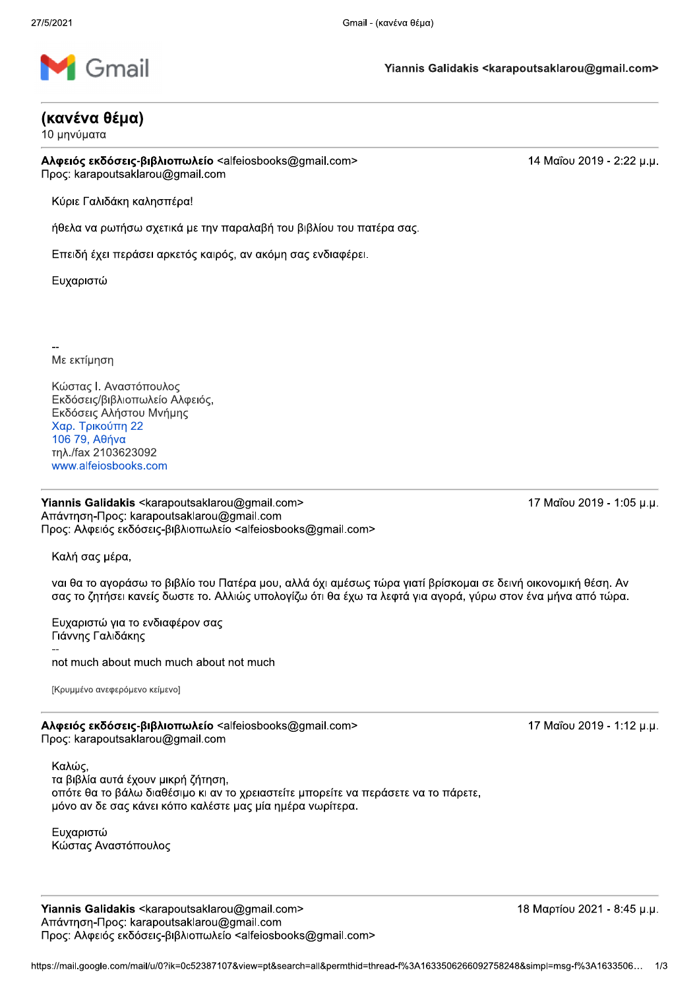

## (κανένα θέμα)

10 μηνύματα

Αλφειός εκδόσεις-βιβλιοπωλείο <alfeiosbooks@gmail.com> Προς: karapoutsaklarou@gmail.com

14 Μαΐου 2019 - 2:22 μ.μ.

Κύριε Γαλιδάκη καλησπέρα!

ήθελα να ρωτήσω σχετικά με την παραλαβή του βιβλίου του πατέρα σας.

Επειδή έχει περάσει αρκετός καιρός, αν ακόμη σας ενδιαφέρει.

Ευχαριστώ

Με εκτίμηση

Κώστας Ι. Αναστόπουλος Εκδόσεις/βιβλιοπωλείο Αλφειός, Εκδόσεις Αλήστου Μνήμης Χαρ. Τρικούπη 22 106 79, Αθήνα τηλ./fax 2103623092 www.alfeiosbooks.com

Yiannis Galidakis <karapoutsaklarou@gmail.com> Απάντηση-Προς: karapoutsaklarou@gmail.com Προς: Αλφειός εκδόσεις-βιβλιοπωλείο <alfeiosbooks@gmail.com> 17 Μαΐου 2019 - 1:05 μ.μ.

Καλή σας μέρα,

ναι θα το αγοράσω το βιβλίο του Πατέρα μου, αλλά όχι αμέσως τώρα γιατί βρίσκομαι σε δεινή οικονομική θέση. Αν σας το ζητήσει κανείς δωστε το. Αλλιώς υπολογίζω ότι θα έχω τα λεφτά για αγορά, γύρω στον ένα μήνα από τώρα.

Ευχαριστώ για το ενδιαφέρον σας Γιάννης Γαλιδάκης not much about much much about not much

ΓΚρυμμένο ανεφερόμενο κείμενο]

Αλφειός εκδόσεις-βιβλιοπωλείο <alfeiosbooks@gmail.com> Προς: karapoutsaklarou@gmail.com

17 Μαΐου 2019 - 1:12 μ.μ.

Καλώς, τα βιβλία αυτά έχουν μικρή ζήτηση, οπότε θα το βάλω διαθέσιμο κι αν το χρειαστείτε μπορείτε να περάσετε να το πάρετε, μόνο αν δε σας κάνει κόπο καλέστε μας μία ημέρα νωρίτερα.

Ευχαριστώ Κώστας Αναστόπουλος

Yiannis Galidakis <karapoutsaklarou@gmail.com> Απάντηση-Προς: karapoutsaklarou@gmail.com Προς: Αλφειός εκδόσεις-βιβλιοπωλείο <alfeiosbooks@gmail.com> 18 Μαρτίου 2021 - 8:45 μ.μ.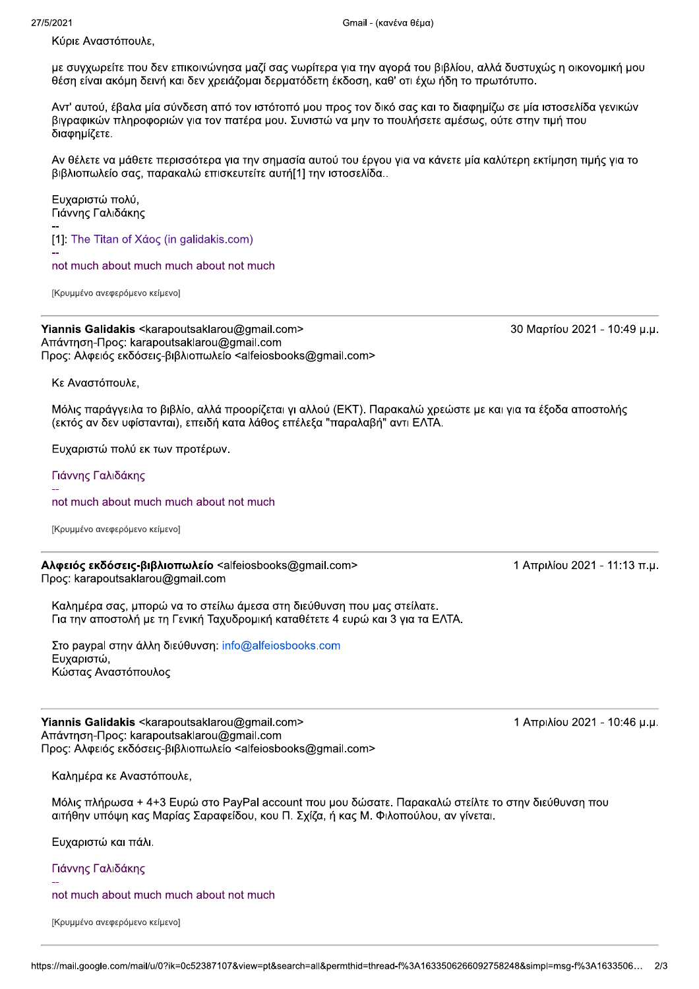Κύριε Αναστόπουλε,

με συγχωρείτε που δεν επικοινώνησα μαζί σας νωρίτερα για την αγορά του βιβλίου, αλλά δυστυχώς η οικονομική μου θέση είναι ακόμη δεινή και δεν χρειάζομαι δερματόδετη έκδοση, καθ' οτι έχω ήδη το πρωτότυπο.

Αντ' αυτού, έβαλα μία σύνδεση από τον ιστότοπό μου προς τον δικό σας και το διαφημίζω σε μία ιστοσελίδα γενικών βιγραφικών πληροφοριών για τον πατέρα μου. Συνιστώ να μην το πουλήσετε αμέσως, ούτε στην τιμή που διαφημίζετε.

Αν θέλετε να μάθετε περισσότερα για την σημασία αυτού του έργου για να κάνετε μία καλύτερη εκτίμηση τιμής για το βιβλιοπωλείο σας, παρακαλώ επισκευτείτε αυτή[1] την ιστοσελίδα..

Ευχαριστώ πολύ, Γιάννης Γαλιδάκης

[1]: The Titan of Xáoc (in galidakis.com)

not much about much much about not much

[Κρυμμένο ανεφερόμενο κείμενο]

Yiannis Galidakis <karapoutsaklarou@gmail.com> Απάντηση-Προς: karapoutsaklarou@gmail.com Προς: Αλφειός εκδόσεις-βιβλιοπωλείο <alfeiosbooks@gmail.com>

Κε Αναστόπουλε.

Μόλις παράγγειλα το βιβλίο, αλλά προορίζεται γι αλλού (ΕΚΤ). Παρακαλώ χρεώστε με και για τα έξοδα αποστολής (εκτός αν δεν υφίστανται), επειδή κατα λάθος επέλεξα "παραλαβή" αντι ΕΛΤΑ.

Ευχαριστώ πολύ εκ των προτέρων.

Γιάννης Γαλιδάκης

not much about much much about not much

[Κρυμμένο ανεφερόμενο κείμενο]

Αλφειός εκδόσεις-βιβλιοπωλείο <alfeiosbooks@gmail.com> Προς: karapoutsaklarou@gmail.com

Καλημέρα σας, μπορώ να το στείλω άμεσα στη διεύθυνση που μας στείλατε. Για την αποστολή με τη Γενική Ταχυδρομική καταθέτετε 4 ευρώ και 3 για τα ΕΛΤΑ.

Στο paypal στην άλλη διεύθυνση: info@alfeiosbooks.com Ευχαριστώ, Κώστας Αναστόπουλος

Yiannis Galidakis <karapoutsaklarou@gmail.com> Απάντηση-Προς: karapoutsaklarou@gmail.com Προς: Αλφειός εκδόσεις-βιβλιοπωλείο <alfeiosbooks@gmail.com>

Καλημέρα κε Αναστόπουλε,

Μόλις πλήρωσα + 4+3 Ευρώ στο PayPal account που μου δώσατε. Παρακαλώ στείλτε το στην διεύθυνση που αιτήθην υπόψη κας Μαρίας Σαραφείδου, κου Π. Σχίζα, ή κας Μ. Φιλοπούλου, αν γίνεται.

Ευχαριστώ και πάλι.

Γιάννης Γαλιδάκης

not much about much much about not much

[Κρυμμένο ανεφερόμενο κείμενο]

30 Μαρτίου 2021 - 10:49 μ.μ.

1 Απριλίου 2021 - 11:13 π.μ.

1 Απριλίου 2021 - 10:46 μ.μ.